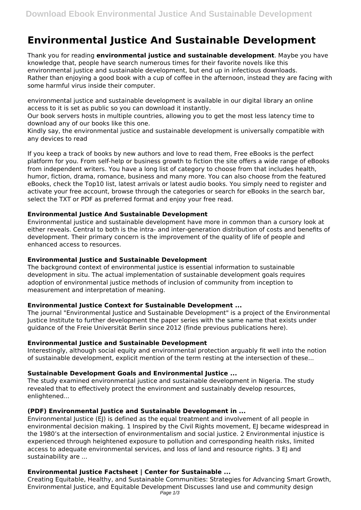# **Environmental Justice And Sustainable Development**

Thank you for reading **environmental justice and sustainable development**. Maybe you have knowledge that, people have search numerous times for their favorite novels like this environmental justice and sustainable development, but end up in infectious downloads. Rather than enjoying a good book with a cup of coffee in the afternoon, instead they are facing with some harmful virus inside their computer.

environmental justice and sustainable development is available in our digital library an online access to it is set as public so you can download it instantly.

Our book servers hosts in multiple countries, allowing you to get the most less latency time to download any of our books like this one.

Kindly say, the environmental justice and sustainable development is universally compatible with any devices to read

If you keep a track of books by new authors and love to read them, Free eBooks is the perfect platform for you. From self-help or business growth to fiction the site offers a wide range of eBooks from independent writers. You have a long list of category to choose from that includes health, humor, fiction, drama, romance, business and many more. You can also choose from the featured eBooks, check the Top10 list, latest arrivals or latest audio books. You simply need to register and activate your free account, browse through the categories or search for eBooks in the search bar, select the TXT or PDF as preferred format and enjoy your free read.

# **Environmental Justice And Sustainable Development**

Environmental justice and sustainable development have more in common than a cursory look at either reveals. Central to both is the intra- and inter-generation distribution of costs and benefits of development. Their primary concern is the improvement of the quality of life of people and enhanced access to resources.

## **Environmental Justice and Sustainable Development**

The background context of environmental justice is essential information to sustainable development in situ. The actual implementation of sustainable development goals requires adoption of environmental justice methods of inclusion of community from inception to measurement and interpretation of meaning.

# **Environmental Justice Context for Sustainable Development ...**

The journal "Environmental Justice and Sustainable Development" is a project of the Environmental Justice Institute to further development the paper series with the same name that exists under guidance of the Freie Universität Berlin since 2012 (finde previous publications here).

# **Environmental Justice and Sustainable Development**

Interestingly, although social equity and environmental protection arguably fit well into the notion of sustainable development, explicit mention of the term resting at the intersection of these...

# **Sustainable Development Goals and Environmental Justice ...**

The study examined environmental justice and sustainable development in Nigeria. The study revealed that to effectively protect the environment and sustainably develop resources, enlightened...

## **(PDF) Environmental Justice and Sustainable Development in ...**

Environmental Justice (EJ) is defined as the equal treatment and involvement of all people in environmental decision making. 1 Inspired by the Civil Rights movement, EJ became widespread in the 1980's at the intersection of environmentalism and social justice. 2 Environmental injustice is experienced through heightened exposure to pollution and corresponding health risks, limited access to adequate environmental services, and loss of land and resource rights. 3 EJ and sustainability are ...

# **Environmental Justice Factsheet | Center for Sustainable ...**

Creating Equitable, Healthy, and Sustainable Communities: Strategies for Advancing Smart Growth, Environmental Justice, and Equitable Development Discusses land use and community design Page  $1/3$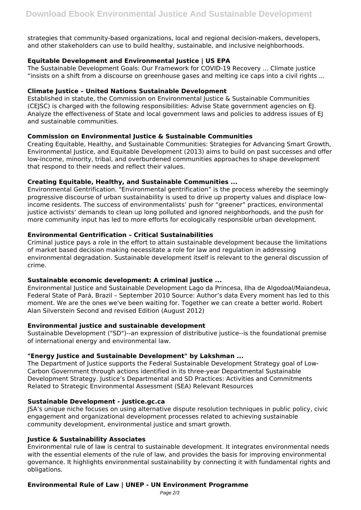strategies that community-based organizations, local and regional decision-makers, developers, and other stakeholders can use to build healthy, sustainable, and inclusive neighborhoods.

# **Equitable Development and Environmental Justice | US EPA**

The Sustainable Development Goals: Our Framework for COVID-19 Recovery ... Climate justice "insists on a shift from a discourse on greenhouse gases and melting ice caps into a civil rights ...

## **Climate Justice – United Nations Sustainable Development**

Established in statute, the Commission on Environmental Justice & Sustainable Communities (CEJSC) is charged with the following responsibilities: Advise State government agencies on EJ. Analyze the effectiveness of State and local government laws and policies to address issues of EJ and sustainable communities.

# **Commission on Environmental Justice & Sustainable Communities**

Creating Equitable, Healthy, and Sustainable Communities: Strategies for Advancing Smart Growth, Environmental Justice, and Equitable Development (2013) aims to build on past successes and offer low-income, minority, tribal, and overburdened communities approaches to shape development that respond to their needs and reflect their values.

# **Creating Equitable, Healthy, and Sustainable Communities ...**

Environmental Gentrification. "Environmental gentrification" is the process whereby the seemingly progressive discourse of urban sustainability is used to drive up property values and displace lowincome residents. The success of environmentalists' push for "greener" practices, environmental justice activists' demands to clean up long polluted and ignored neighborhoods, and the push for more community input has led to more efforts for ecologically responsible urban development.

# **Environmental Gentrification – Critical Sustainabilities**

Criminal justice pays a role in the effort to attain sustainable development because the limitations of market based decision making necessitate a role for law and regulation in addressing environmental degradation. Sustainable development itself is relevant to the general discussion of crime.

## **Sustainable economic development: A criminal justice ...**

Environmental Justice and Sustainable Development Lago da Princesa, Ilha de Algodoal/Maiandeua, Federal State of Pará, Brazil – September 2010 Source: Author's data Every moment has led to this moment. We are the ones we've been waiting for. Together we can create a better world. Robert Alan Silverstein Second and revised Edition (August 2012)

## **Environmental justice and sustainable development**

Sustainable Development ("SD")--an expression of distributive justice--is the foundational premise of international energy and environmental law.

## **"Energy Justice and Sustainable Development" by Lakshman ...**

The Department of Justice supports the Federal Sustainable Development Strategy goal of Low-Carbon Government through actions identified in its three-year Departmental Sustainable Development Strategy. Justice's Departmental and SD Practices: Activities and Commitments Related to Strategic Environmental Assessment (SEA) Relevant Resources

## **Sustainable Development - justice.gc.ca**

JSA's unique niche focuses on using alternative dispute resolution techniques in public policy, civic engagement and organizational development processes related to achieving sustainable community development, environmental justice and smart growth.

## **Justice & Sustainability Associates**

Environmental rule of law is central to sustainable development. It integrates environmental needs with the essential elements of the rule of law, and provides the basis for improving environmental governance. It highlights environmental sustainability by connecting it with fundamental rights and obligations.

## **Environmental Rule of Law | UNEP - UN Environment Programme**